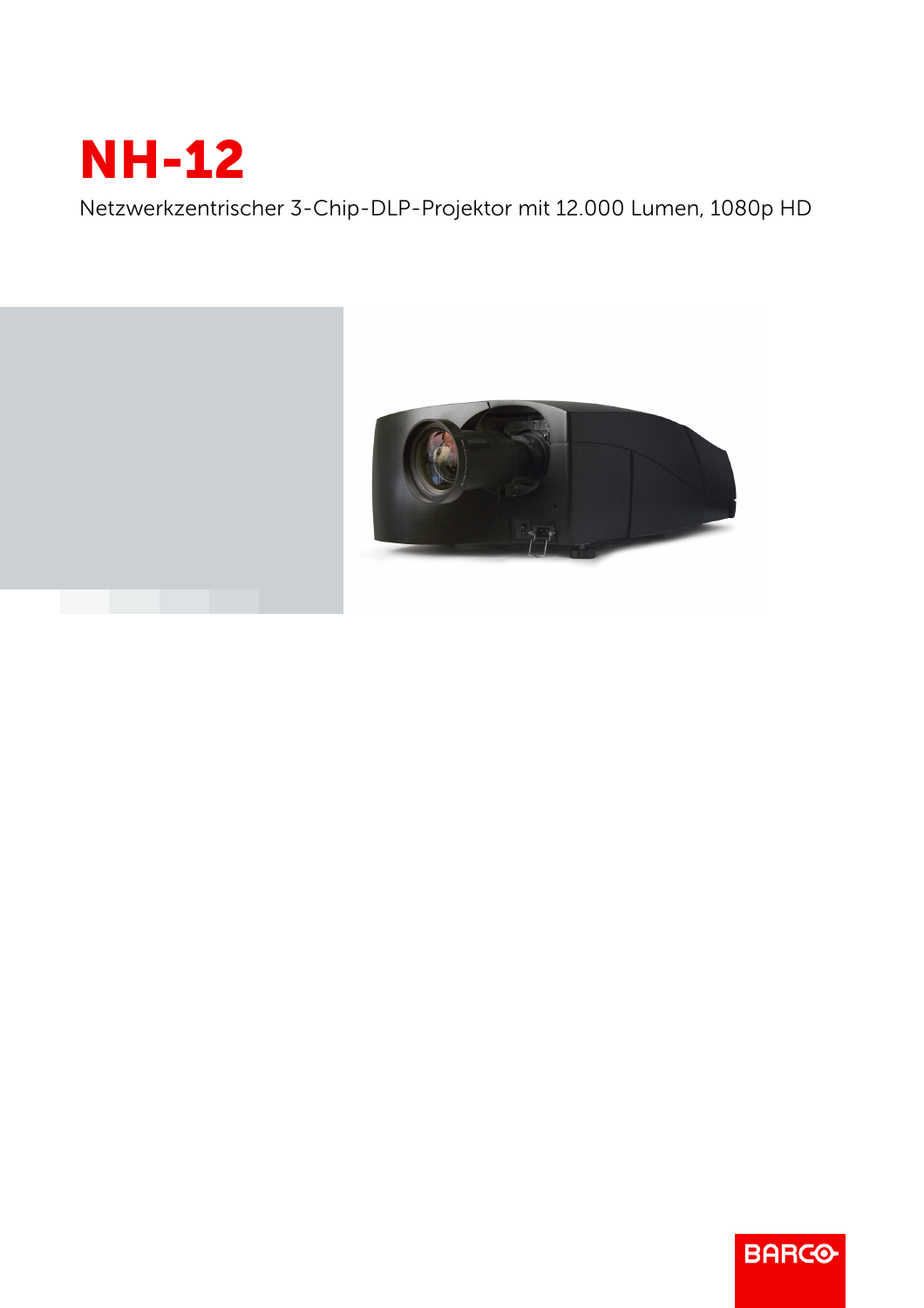

Netzwerkzentrischer 3-Chip-DLP-Projektor mit 12.000 Lumen, 1080p HD